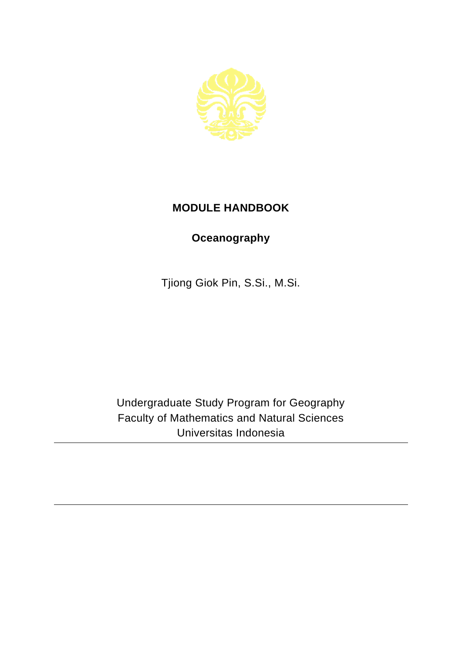

## **MODULE HANDBOOK**

## **Oceanography**

Tjiong Giok Pin, S.Si., M.Si.

Undergraduate Study Program for Geography Faculty of Mathematics and Natural Sciences Universitas Indonesia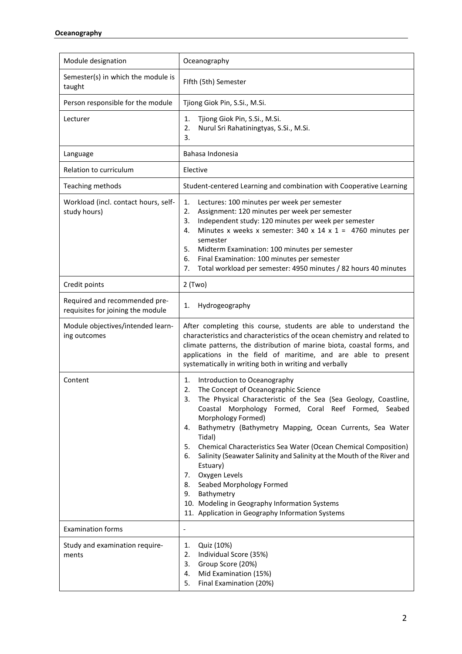| Module designation                                                 | Oceanography                                                                                                                                                                                                                                                                                                                                                                                                                                                                                                                                                                                                                                                                |
|--------------------------------------------------------------------|-----------------------------------------------------------------------------------------------------------------------------------------------------------------------------------------------------------------------------------------------------------------------------------------------------------------------------------------------------------------------------------------------------------------------------------------------------------------------------------------------------------------------------------------------------------------------------------------------------------------------------------------------------------------------------|
| Semester(s) in which the module is<br>taught                       | Flfth (5th) Semester                                                                                                                                                                                                                                                                                                                                                                                                                                                                                                                                                                                                                                                        |
| Person responsible for the module                                  | Tjiong Giok Pin, S.Si., M.Si.                                                                                                                                                                                                                                                                                                                                                                                                                                                                                                                                                                                                                                               |
| Lecturer                                                           | Tjiong Giok Pin, S.Si., M.Si.<br>1.<br>2.<br>Nurul Sri Rahatiningtyas, S.Si., M.Si.<br>3.                                                                                                                                                                                                                                                                                                                                                                                                                                                                                                                                                                                   |
| Language                                                           | Bahasa Indonesia                                                                                                                                                                                                                                                                                                                                                                                                                                                                                                                                                                                                                                                            |
| Relation to curriculum                                             | Elective                                                                                                                                                                                                                                                                                                                                                                                                                                                                                                                                                                                                                                                                    |
| Teaching methods                                                   | Student-centered Learning and combination with Cooperative Learning                                                                                                                                                                                                                                                                                                                                                                                                                                                                                                                                                                                                         |
| Workload (incl. contact hours, self-<br>study hours)               | 1.<br>Lectures: 100 minutes per week per semester<br>2.<br>Assignment: 120 minutes per week per semester<br>Independent study: 120 minutes per week per semester<br>3.<br>Minutes x weeks x semester: 340 x 14 x 1 = 4760 minutes per<br>4.<br>semester<br>5.<br>Midterm Examination: 100 minutes per semester<br>Final Examination: 100 minutes per semester<br>6.<br>7.<br>Total workload per semester: 4950 minutes / 82 hours 40 minutes                                                                                                                                                                                                                                |
| Credit points                                                      | $2$ (Two)                                                                                                                                                                                                                                                                                                                                                                                                                                                                                                                                                                                                                                                                   |
| Required and recommended pre-<br>requisites for joining the module | 1.<br>Hydrogeography                                                                                                                                                                                                                                                                                                                                                                                                                                                                                                                                                                                                                                                        |
| Module objectives/intended learn-<br>ing outcomes                  | After completing this course, students are able to understand the<br>characteristics and characteristics of the ocean chemistry and related to<br>climate patterns, the distribution of marine biota, coastal forms, and<br>applications in the field of maritime, and are able to present<br>systematically in writing both in writing and verbally                                                                                                                                                                                                                                                                                                                        |
| Content                                                            | Introduction to Oceanography<br>1.<br>The Concept of Oceanographic Science<br>2.<br>3.<br>The Physical Characteristic of the Sea (Sea Geology, Coastline,<br>Coastal Morphology Formed, Coral Reef Formed, Seabed<br>Morphology Formed)<br>Bathymetry (Bathymetry Mapping, Ocean Currents, Sea Water<br>4.<br>Tidal)<br>Chemical Characteristics Sea Water (Ocean Chemical Composition)<br>5.<br>Salinity (Seawater Salinity and Salinity at the Mouth of the River and<br>6.<br>Estuary)<br>Oxygen Levels<br>7.<br>Seabed Morphology Formed<br>8.<br>Bathymetry<br>9.<br>10. Modeling in Geography Information Systems<br>11. Application in Geography Information Systems |
| <b>Examination forms</b>                                           | $\overline{\phantom{a}}$                                                                                                                                                                                                                                                                                                                                                                                                                                                                                                                                                                                                                                                    |
| Study and examination require-<br>ments                            | Quiz (10%)<br>1.<br>Individual Score (35%)<br>2.<br>Group Score (20%)<br>3.<br>Mid Examination (15%)<br>4.<br>Final Examination (20%)<br>5.                                                                                                                                                                                                                                                                                                                                                                                                                                                                                                                                 |